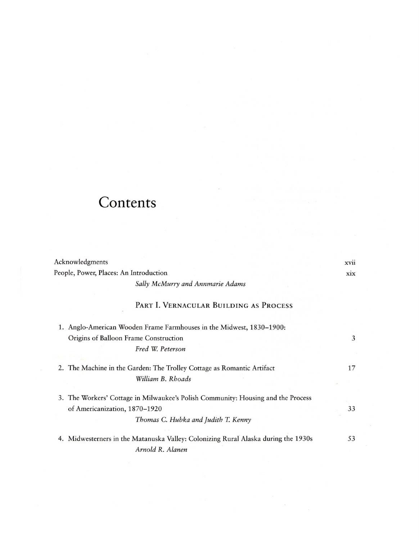## **Contents**

| Acknowledgments                                                                    | XVII |
|------------------------------------------------------------------------------------|------|
| People, Power, Places: An Introduction                                             |      |
| Sally McMurry and Annmarie Adams                                                   |      |
| PART I. VERNACULAR BUILDING AS PROCESS                                             |      |
| 1. Anglo-American Wooden Frame Farmhouses in the Midwest, 1830-1900:               |      |
| Origins of Balloon Frame Construction                                              | 3    |
| Fred W. Peterson                                                                   |      |
|                                                                                    |      |
| 2. The Machine in the Garden: The Trolley Cottage as Romantic Artifact             | 17   |
| William B. Rhoads                                                                  |      |
|                                                                                    |      |
| 3. The Workers' Cottage in Milwaukee's Polish Community: Housing and the Process   |      |
| of Americanization, 1870-1920                                                      | 33   |
| Thomas C. Hubka and Judith T. Kenny                                                |      |
|                                                                                    |      |
| 4. Midwesterners in the Matanuska Valley: Colonizing Rural Alaska during the 1930s | 53   |
| Arnold R. Alanen                                                                   |      |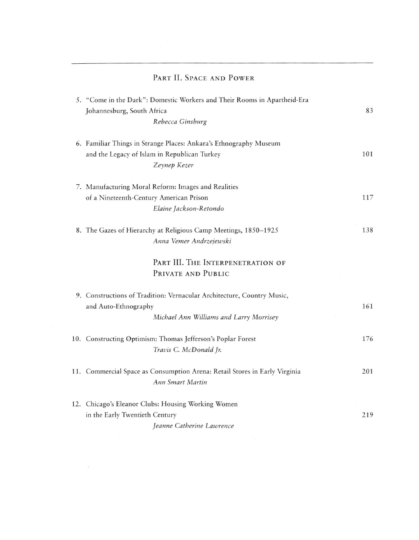|  | PART II. SPACE AND POWER                                                                                                                  |     |
|--|-------------------------------------------------------------------------------------------------------------------------------------------|-----|
|  | 5. "Come in the Dark": Domestic Workers and Their Rooms in Apartheid-Era<br>Johannesburg, South Africa<br>Rebecca Ginsburg                | 83  |
|  | 6. Familiar Things in Strange Places: Ankara's Ethnography Museum<br>and the Legacy of Islam in Republican Turkey<br>Zeynep Kezer         | 101 |
|  | 7. Manufacturing Moral Reform: Images and Realities<br>of a Nineteenth-Century American Prison<br>Elaine Jackson-Retondo                  | 117 |
|  | 8. The Gazes of Hierarchy at Religious Camp Meetings, 1850-1925<br>Anna Vemer Andrzejewski                                                | 138 |
|  | PART III. THE INTERPENETRATION OF<br>PRIVATE AND PUBLIC                                                                                   |     |
|  | 9. Constructions of Tradition: Vernacular Architecture, Country Music,<br>and Auto-Ethnography<br>Michael Ann Williams and Larry Morrisey | 161 |
|  | 10. Constructing Optimism: Thomas Jefferson's Poplar Forest<br>Travis C. McDonald Jr.                                                     | 176 |
|  | 11. Commercial Space as Consumption Arena: Retail Stores in Early Virginia<br>Ann Smart Martin                                            | 201 |
|  | 12. Chicago's Eleanor Clubs: Housing Working Women<br>in the Early Twentieth Century<br>Jeanne Catherine Lawrence                         | 219 |
|  |                                                                                                                                           |     |

 $\mathcal{L}^{\text{max}}_{\text{max}}$  and  $\mathcal{L}^{\text{max}}_{\text{max}}$ 

 $\label{eq:1} \mathbf{y} = \mathbf{y} + \mathbf{y}$